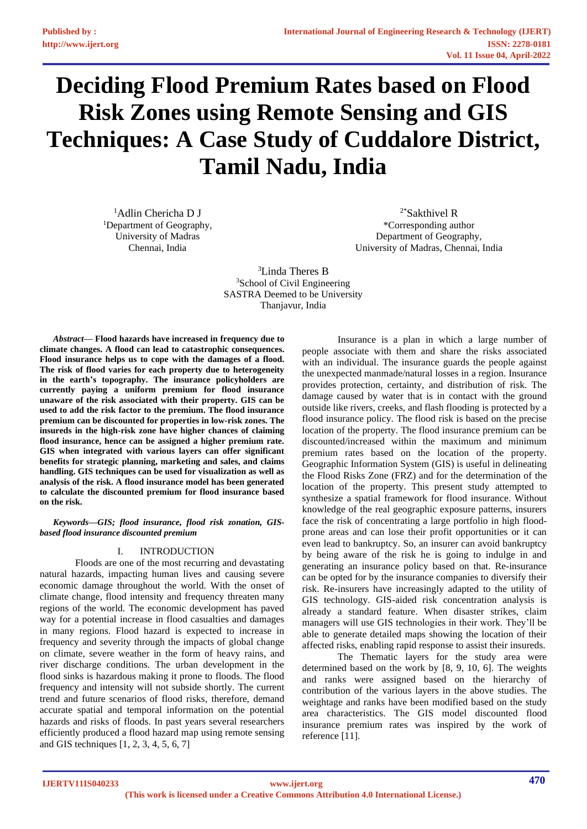# **Deciding Flood Premium Rates based on Flood Risk Zones using Remote Sensing and GIS Techniques: A Case Study of Cuddalore District, Tamil Nadu, India**

<sup>1</sup>Adlin Chericha D J <sup>1</sup>Department of Geography, University of Madras Chennai, India

2\*Sakthivel R \*Corresponding author Department of Geography, University of Madras, Chennai, India

<sup>3</sup>Linda Theres B <sup>3</sup>School of Civil Engineering SASTRA Deemed to be University Thanjavur, India

*Abstract***— Flood hazards have increased in frequency due to climate changes. A flood can lead to catastrophic consequences. Flood insurance helps us to cope with the damages of a flood. The risk of flood varies for each property due to heterogeneity in the earth's topography. The insurance policyholders are currently paying a uniform premium for flood insurance unaware of the risk associated with their property. GIS can be used to add the risk factor to the premium. The flood insurance premium can be discounted for properties in low-risk zones. The insureds in the high-risk zone have higher chances of claiming flood insurance, hence can be assigned a higher premium rate. GIS when integrated with various layers can offer significant benefits for strategic planning, marketing and sales, and claims handling. GIS techniques can be used for visualization as well as analysis of the risk. A flood insurance model has been generated to calculate the discounted premium for flood insurance based on the risk.**

*Keywords—GIS; flood insurance, flood risk zonation, GISbased flood insurance discounted premium*

# I. INTRODUCTION

Floods are one of the most recurring and devastating natural hazards, impacting human lives and causing severe economic damage throughout the world. With the onset of climate change, flood intensity and frequency threaten many regions of the world. The economic development has paved way for a potential increase in flood casualties and damages in many regions. Flood hazard is expected to increase in frequency and severity through the impacts of global change on climate, severe weather in the form of heavy rains, and river discharge conditions. The urban development in the flood sinks is hazardous making it prone to floods. The flood frequency and intensity will not subside shortly. The current trend and future scenarios of flood risks, therefore, demand accurate spatial and temporal information on the potential hazards and risks of floods. In past years several researchers efficiently produced a flood hazard map using remote sensing and GIS techniques [1, 2, 3, 4, 5, 6, 7]

Insurance is a plan in which a large number of people associate with them and share the risks associated with an individual. The insurance guards the people against the unexpected manmade/natural losses in a region. Insurance provides protection, certainty, and distribution of risk. The damage caused by water that is in contact with the ground outside like rivers, creeks, and flash flooding is protected by a flood insurance policy. The flood risk is based on the precise location of the property. The flood insurance premium can be discounted/increased within the maximum and minimum premium rates based on the location of the property. Geographic Information System (GIS) is useful in delineating the Flood Risks Zone (FRZ) and for the determination of the location of the property. This present study attempted to synthesize a spatial framework for flood insurance. Without knowledge of the real geographic exposure patterns, insurers face the risk of concentrating a large portfolio in high floodprone areas and can lose their profit opportunities or it can even lead to bankruptcy. So, an insurer can avoid bankruptcy by being aware of the risk he is going to indulge in and generating an insurance policy based on that. Re-insurance can be opted for by the insurance companies to diversify their risk. Re-insurers have increasingly adapted to the utility of GIS technology. GIS-aided risk concentration analysis is already a standard feature. When disaster strikes, claim managers will use GIS technologies in their work. They'll be able to generate detailed maps showing the location of their affected risks, enabling rapid response to assist their insureds.

The Thematic layers for the study area were determined based on the work by [8, 9, 10, 6]. The weights and ranks were assigned based on the hierarchy of contribution of the various layers in the above studies. The weightage and ranks have been modified based on the study area characteristics. The GIS model discounted flood insurance premium rates was inspired by the work of reference [11].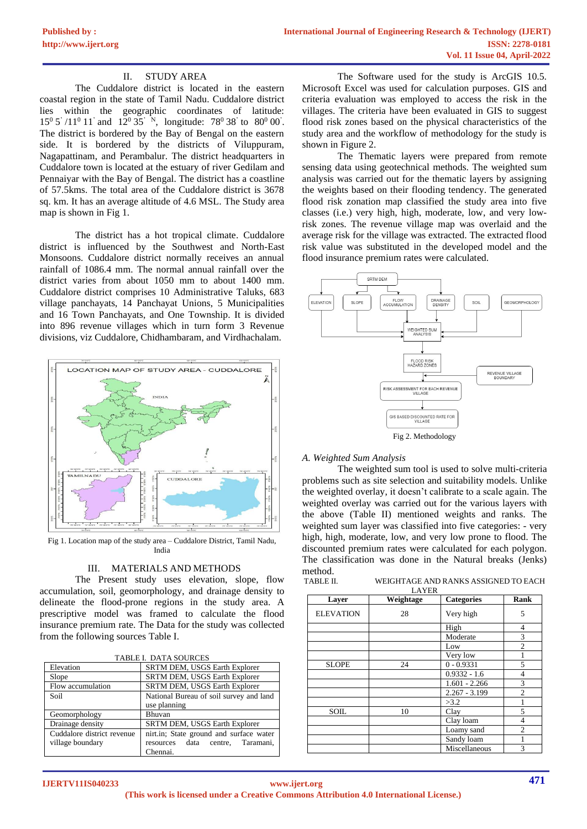#### II. STUDY AREA

The Cuddalore district is located in the eastern coastal region in the state of Tamil Nadu. Cuddalore district lies within the geographic coordinates of latitude:  $15^{\circ}$  5' /11<sup>o</sup> 11' and 12<sup>o</sup> 35' <sup>N</sup>, longitude: 78<sup>o</sup> 38' to 80<sup>o</sup> 00'. The district is bordered by the Bay of Bengal on the eastern side. It is bordered by the districts of Viluppuram, Nagapattinam, and Perambalur. The district headquarters in Cuddalore town is located at the estuary of river Gedilam and Pennaiyar with the Bay of Bengal. The district has a coastline of 57.5kms. The total area of the Cuddalore district is 3678 sq. km. It has an average altitude of 4.6 MSL. The Study area map is shown in Fig 1.

The district has a hot tropical climate. Cuddalore district is influenced by the Southwest and North-East Monsoons. Cuddalore district normally receives an annual rainfall of 1086.4 mm. The normal annual rainfall over the district varies from about 1050 mm to about 1400 mm. Cuddalore district comprises 10 Administrative Taluks, 683 village panchayats, 14 Panchayat Unions, 5 Municipalities and 16 Town Panchayats, and One Township. It is divided into 896 revenue villages which in turn form 3 Revenue divisions, viz Cuddalore, Chidhambaram, and Virdhachalam.



Fig 1. Location map of the study area – Cuddalore District, Tamil Nadu, India

#### III. MATERIALS AND METHODS

The Present study uses elevation, slope, flow accumulation, soil, geomorphology, and drainage density to delineate the flood-prone regions in the study area. A prescriptive model was framed to calculate the flood insurance premium rate. The Data for the study was collected from the following sources Table I.

| Elevation                  | SRTM DEM, USGS Earth Explorer           |  |  |
|----------------------------|-----------------------------------------|--|--|
| Slope                      | SRTM DEM, USGS Earth Explorer           |  |  |
| Flow accumulation          | SRTM DEM, USGS Earth Explorer           |  |  |
| Soil                       | National Bureau of soil survey and land |  |  |
|                            | use planning                            |  |  |
| Geomorphology              | <b>Bhuvan</b>                           |  |  |
| Drainage density           | SRTM DEM, USGS Earth Explorer           |  |  |
| Cuddalore district revenue | nirt.in; State ground and surface water |  |  |
| village boundary           | resources data centre. Taramani.        |  |  |
|                            | Chennai.                                |  |  |

The Software used for the study is ArcGIS 10.5. Microsoft Excel was used for calculation purposes. GIS and criteria evaluation was employed to access the risk in the villages. The criteria have been evaluated in GIS to suggest flood risk zones based on the physical characteristics of the study area and the workflow of methodology for the study is shown in Figure 2.

The Thematic layers were prepared from remote sensing data using geotechnical methods. The weighted sum analysis was carried out for the thematic layers by assigning the weights based on their flooding tendency. The generated flood risk zonation map classified the study area into five classes (i.e.) very high, high, moderate, low, and very lowrisk zones. The revenue village map was overlaid and the average risk for the village was extracted. The extracted flood risk value was substituted in the developed model and the flood insurance premium rates were calculated.



# Fig 2. Methodology

#### *A. Weighted Sum Analysis*

The weighted sum tool is used to solve multi-criteria problems such as site selection and suitability models. Unlike the weighted overlay, it doesn't calibrate to a scale again. The weighted overlay was carried out for the various layers with the above (Table II) mentioned weights and ranks. The weighted sum layer was classified into five categories: - very high, high, moderate, low, and very low prone to flood. The discounted premium rates were calculated for each polygon. The classification was done in the Natural breaks (Jenks) method.<br>TABLE II.

WEIGHTAGE AND RANKS ASSIGNED TO EACH LAYER

| Layer            | Weightage | <b>Categories</b> | Rank           |
|------------------|-----------|-------------------|----------------|
| <b>ELEVATION</b> | 28        | Very high         | 5              |
|                  |           | High              | 4              |
|                  |           | Moderate          | 3              |
|                  |           | Low               | $\overline{2}$ |
|                  |           | Very low          |                |
| <b>SLOPE</b>     | 24        | $0 - 0.9331$      | 5              |
|                  |           | $0.9332 - 1.6$    | 4              |
|                  |           | $1.601 - 2.266$   | 3              |
|                  |           | $2.267 - 3.199$   | $\overline{2}$ |
|                  |           | >3.2              |                |
| <b>SOIL</b>      | 10        | Clay              | 5              |
|                  |           | Clay loam         | $\overline{4}$ |
|                  |           | Loamy sand        | $\overline{2}$ |
|                  |           | Sandy loam        |                |
|                  |           | Miscellaneous     | 3              |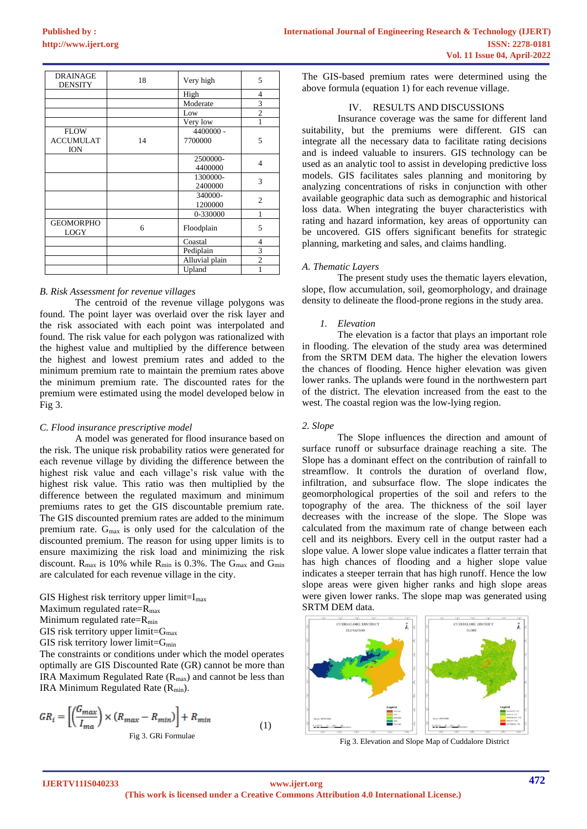| <b>DRAINAGE</b><br><b>DENSITY</b> | 18 | Very high      | 5              |
|-----------------------------------|----|----------------|----------------|
|                                   |    | High           | $\overline{4}$ |
|                                   |    | Moderate       | 3              |
|                                   |    | Low            | $\overline{c}$ |
|                                   |    | Very low       |                |
| <b>FLOW</b>                       |    | 4400000 -      |                |
| <b>ACCUMULAT</b><br><b>ION</b>    | 14 | 7700000        | 5              |
|                                   |    | 2500000-       | 4              |
|                                   |    | 4400000        |                |
|                                   |    | 1300000-       | 3              |
|                                   |    | 2400000        |                |
|                                   |    | 340000-        | $\overline{c}$ |
|                                   |    | 1200000        |                |
|                                   |    | 0-330000       | 1              |
| <b>GEOMORPHO</b><br><b>LOGY</b>   | 6  | Floodplain     | 5              |
|                                   |    | Coastal        | $\overline{4}$ |
|                                   |    | Pediplain      | 3              |
|                                   |    | Alluvial plain | $\overline{2}$ |
|                                   |    | Upland         |                |

#### *B. Risk Assessment for revenue villages*

The centroid of the revenue village polygons was found. The point layer was overlaid over the risk layer and the risk associated with each point was interpolated and found. The risk value for each polygon was rationalized with the highest value and multiplied by the difference between the highest and lowest premium rates and added to the minimum premium rate to maintain the premium rates above the minimum premium rate. The discounted rates for the premium were estimated using the model developed below in Fig 3.

# *C. Flood insurance prescriptive model*

A model was generated for flood insurance based on the risk. The unique risk probability ratios were generated for each revenue village by dividing the difference between the highest risk value and each village's risk value with the highest risk value. This ratio was then multiplied by the difference between the regulated maximum and minimum premiums rates to get the GIS discountable premium rate. The GIS discounted premium rates are added to the minimum premium rate.  $G_{\text{max}}$  is only used for the calculation of the discounted premium. The reason for using upper limits is to ensure maximizing the risk load and minimizing the risk discount.  $R_{\text{max}}$  is 10% while  $R_{\text{min}}$  is 0.3%. The  $G_{\text{max}}$  and  $G_{\text{min}}$ are calculated for each revenue village in the city.

GIS Highest risk territory upper limit= $I_{max}$ 

Maximum regulated rate= $R_{\text{max}}$ 

Minimum regulated rate=R<sub>min</sub>

GIS risk territory upper limit= $G_{max}$ 

GIS risk territory lower limit= $G_{min}$ 

The constraints or conditions under which the model operates optimally are GIS Discounted Rate (GR) cannot be more than IRA Maximum Regulated Rate  $(R_{\text{max}})$  and cannot be less than IRA Minimum Regulated Rate (R<sub>min</sub>).

$$
GR_i = \left[ \left( \frac{G_{max}}{I_{ma}} \right) \times \left( R_{max} - R_{min} \right) \right] + R_{min}
$$
\n<sup>Fig 3. GRi Formulae</sup> (1)

The GIS-based premium rates were determined using the above formula (equation 1) for each revenue village.

#### IV. RESULTS AND DISCUSSIONS

Insurance coverage was the same for different land suitability, but the premiums were different. GIS can integrate all the necessary data to facilitate rating decisions and is indeed valuable to insurers. GIS technology can be used as an analytic tool to assist in developing predictive loss models. GIS facilitates sales planning and monitoring by analyzing concentrations of risks in conjunction with other available geographic data such as demographic and historical loss data. When integrating the buyer characteristics with rating and hazard information, key areas of opportunity can be uncovered. GIS offers significant benefits for strategic planning, marketing and sales, and claims handling.

#### *A. Thematic Layers*

The present study uses the thematic layers elevation, slope, flow accumulation, soil, geomorphology, and drainage density to delineate the flood-prone regions in the study area.

#### *1. Elevation*

The elevation is a factor that plays an important role in flooding. The elevation of the study area was determined from the SRTM DEM data. The higher the elevation lowers the chances of flooding. Hence higher elevation was given lower ranks. The uplands were found in the northwestern part of the district. The elevation increased from the east to the west. The coastal region was the low-lying region.

#### *2. Slope*

The Slope influences the direction and amount of surface runoff or subsurface drainage reaching a site. The Slope has a dominant effect on the contribution of rainfall to streamflow. It controls the duration of overland flow, infiltration, and subsurface flow. The slope indicates the geomorphological properties of the soil and refers to the topography of the area. The thickness of the soil layer decreases with the increase of the slope. The Slope was calculated from the maximum rate of change between each cell and its neighbors. Every cell in the output raster had a slope value. A lower slope value indicates a flatter terrain that has high chances of flooding and a higher slope value indicates a steeper terrain that has high runoff. Hence the low slope areas were given higher ranks and high slope areas were given lower ranks. The slope map was generated using SRTM DEM data.



Fig 3. Elevation and Slope Map of Cuddalore District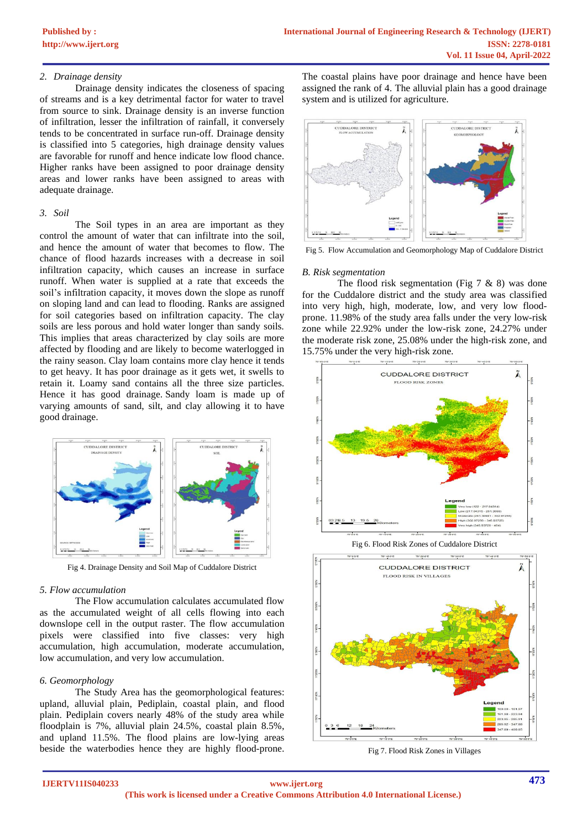#### *2. Drainage density*

Drainage density indicates the closeness of spacing of streams and is a key detrimental factor for water to travel from source to sink. Drainage density is an inverse function of infiltration, lesser the infiltration of rainfall, it conversely tends to be concentrated in surface run-off. Drainage density is classified into 5 categories, high drainage density values are favorable for runoff and hence indicate low flood chance. Higher ranks have been assigned to poor drainage density areas and lower ranks have been assigned to areas with adequate drainage.

#### *3. Soil*

The Soil types in an area are important as they control the amount of water that can infiltrate into the soil, and hence the amount of water that becomes to flow. The chance of flood hazards increases with a decrease in soil infiltration capacity, which causes an increase in surface runoff. When water is supplied at a rate that exceeds the soil's infiltration capacity, it moves down the slope as runoff on sloping land and can lead to flooding. Ranks are assigned for soil categories based on infiltration capacity. The clay soils are less porous and hold water longer than sandy soils. This implies that areas characterized by clay soils are more affected by flooding and are likely to become waterlogged in the rainy season. Clay loam contains more clay hence it tends to get heavy. It has poor drainage as it gets wet, it swells to retain it. Loamy sand contains all the three size particles. Hence it has good drainage. Sandy loam is made up of varying amounts of sand, silt, and clay allowing it to have good drainage.



Fig 4. Drainage Density and Soil Map of Cuddalore District

# *5. Flow accumulation*

The Flow accumulation calculates accumulated flow as the accumulated weight of all cells flowing into each downslope cell in the output raster. The flow accumulation pixels were classified into five classes: very high accumulation, high accumulation, moderate accumulation, low accumulation, and very low accumulation.

# *6. Geomorphology*

The Study Area has the geomorphological features: upland, alluvial plain, Pediplain, coastal plain, and flood plain. Pediplain covers nearly 48% of the study area while floodplain is 7%, alluvial plain 24.5%, coastal plain 8.5%, and upland 11.5%. The flood plains are low-lying areas beside the waterbodies hence they are highly flood-prone.

The coastal plains have poor drainage and hence have been assigned the rank of 4. The alluvial plain has a good drainage system and is utilized for agriculture.



Fig 5. Flow Accumulation and Geomorphology Map of Cuddalore District

#### *B. Risk segmentation*

The flood risk segmentation (Fig  $7 \& 8$ ) was done for the Cuddalore district and the study area was classified into very high, high, moderate, low, and very low floodprone. 11.98% of the study area falls under the very low-risk zone while 22.92% under the low-risk zone, 24.27% under the moderate risk zone, 25.08% under the high-risk zone, and 15.75% under the very high-risk zone.



Fig 6. Flood Risk Zones of Cuddalore District



Fig 7. Flood Risk Zones in Villages